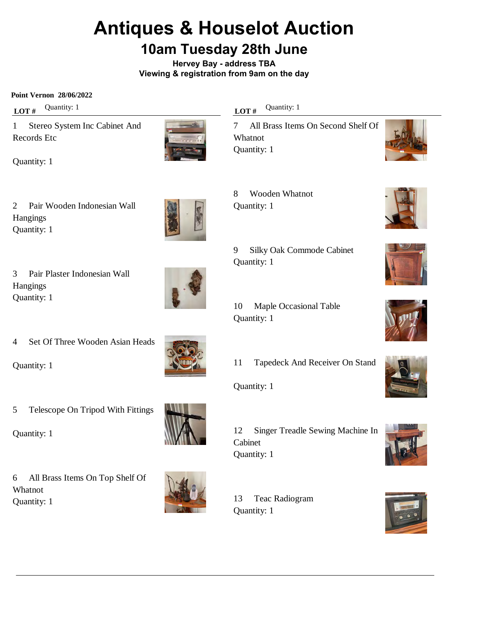# **Antiques & Houselot Auction**

## **10am Tuesday 28th June**

**Hervey Bay - address TBA Viewing & registration from 9am on the day**

**Point Vernon 28/06/2022**

**LOT** # Quantity: 1

1 Stereo System Inc Cabinet And Records Etc



Quantity: 1

2 Pair Wooden Indonesian Wall Hangings Quantity: 1



3 Pair Plaster Indonesian Wall Hangings Quantity: 1



4 Set Of Three Wooden Asian Heads

Quantity: 1

5 Telescope On Tripod With Fittings

Quantity: 1

6 All Brass Items On Top Shelf Of Whatnot Quantity: 1





**LOT** # Quantity: 1

8 Wooden Whatnot

Quantity: 1

Quantity: 1

7 All Brass Items On Second Shelf Of Whatnot Quantity: 1

















9 Silky Oak Commode Cabinet

- 11 Tapedeck And Receiver On Stand
- Quantity: 1

12 Singer Treadle Sewing Machine In Cabinet Quantity: 1

13 Teac Radiogram Quantity: 1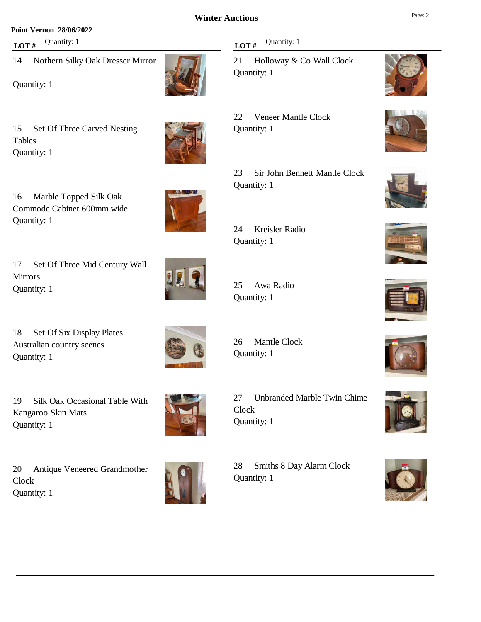#### **Point Vernon 28/06/2022**

**LOT**  $#$  Quantity: 1

14 Nothern Silky Oak Dresser Mirror

Quantity: 1

15 Set Of Three Carved Nesting Tables Quantity: 1

16 Marble Topped Silk Oak Commode Cabinet 600mm wide Quantity: 1

17 Set Of Three Mid Century Wall Mirrors Quantity: 1

18 Set Of Six Display Plates Australian country scenes Quantity: 1

19 Silk Oak Occasional Table With Kangaroo Skin Mats Quantity: 1

20 Antique Veneered Grandmother **Clock** Quantity: 1



26 Mantle Clock Quantity: 1

27 Unbranded Marble Twin Chime Clock Quantity: 1

28 Smiths 8 Day Alarm Clock Quantity: 1



21 Holloway & Co Wall Clock Quantity: 1

22 Veneer Mantle Clock Quantity: 1

23 Sir John Bennett Mantle Clock Quantity: 1

24 Kreisler Radio Quantity: 1

25 Awa Radio Quantity: 1



























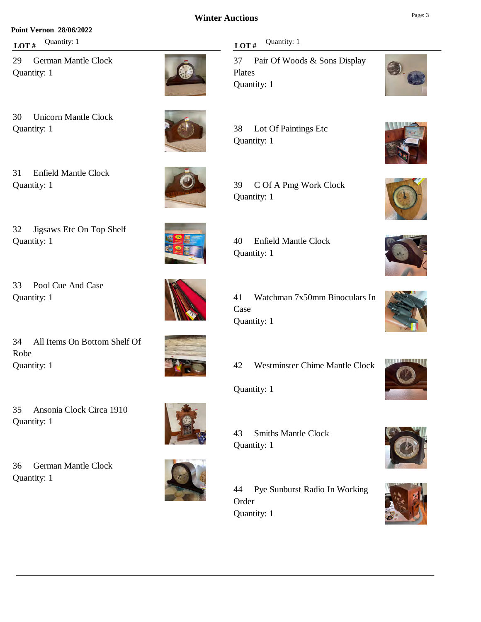#### **Point Vernon 28/06/2022**

**LOT** # Quantity: 1

29 German Mantle Clock Quantity: 1

30 Unicorn Mantle Clock Quantity: 1

31 Enfield Mantle Clock Quantity: 1



32 Jigsaws Etc On Top Shelf Quantity: 1

33 Pool Cue And Case Quantity: 1



34 All Items On Bottom Shelf Of Robe Quantity: 1

35 Ansonia Clock Circa 1910 Quantity: 1

36 German Mantle Clock Quantity: 1





**LOT**# Quantity: 1

37 Pair Of Woods & Sons Display Plates Quantity: 1



39 C Of A Pmg Work Clock Quantity: 1



41 Watchman 7x50mm Binoculars In Case Quantity: 1

42 Westminster Chime Mantle Clock

Quantity: 1

43 Smiths Mantle Clock Quantity: 1

44 Pye Sunburst Radio In Working Order Quantity: 1

















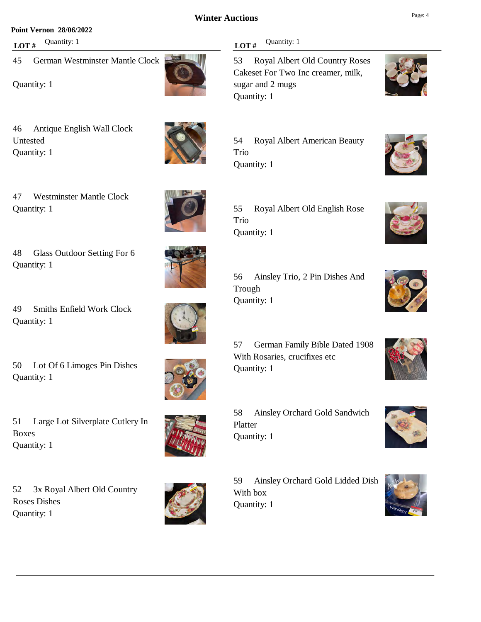**LOT** # Quantity: 1

sugar and 2 mugs

Quantity: 1

#### **Point Vernon 28/06/2022**

**LOT** # Quantity: 1

45 German Westminster Mantle Clock

Quantity: 1

46 Antique English Wall Clock Untested Quantity: 1



47 Westminster Mantle Clock Quantity: 1

48 Glass Outdoor Setting For 6 Quantity: 1

49 Smiths Enfield Work Clock Quantity: 1

50 Lot Of 6 Limoges Pin Dishes Quantity: 1

51 Large Lot Silverplate Cutlery In Boxes Quantity: 1

52 3x Royal Albert Old Country Roses Dishes Quantity: 1



59 Ainsley Orchard Gold Lidded Dish With box Quantity: 1















54 Royal Albert American Beauty Trio Quantity: 1

Cakeset For Two Inc creamer, milk,







58 Ainsley Orchard Gold Sandwich

56 Ainsley Trio, 2 Pin Dishes And



Trough Quantity: 1

Platter Quantity: 1



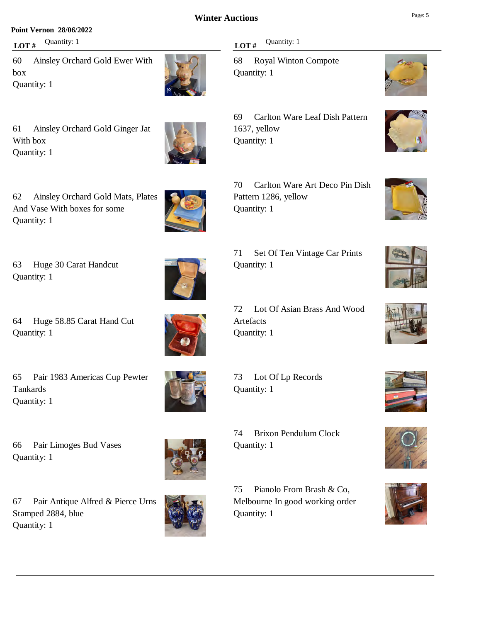#### **Point Vernon 28/06/2022**

**LOT** # Quantity: 1

60 Ainsley Orchard Gold Ewer With box Quantity: 1



61 Ainsley Orchard Gold Ginger Jat With box Quantity: 1



62 Ainsley Orchard Gold Mats, Plates And Vase With boxes for some Quantity: 1

63 Huge 30 Carat Handcut Quantity: 1

64 Huge 58.85 Carat Hand Cut Quantity: 1

65 Pair 1983 Americas Cup Pewter Tankards Quantity: 1



73 Lot Of Lp Records Quantity: 1

Quantity: 1

66 Pair Limoges Bud Vases Quantity: 1

67 Pair Antique Alfred & Pierce Urns Stamped 2884, blue Quantity: 1



75 Pianolo From Brash & Co, Melbourne In good working order

74 Brixon Pendulum Clock

#### **LOT**# Quantity: 1

68 Royal Winton Compote Quantity: 1

69 Carlton Ware Leaf Dish Pattern 1637, yellow Quantity: 1

70 Carlton Ware Art Deco Pin Dish Pattern 1286, yellow Quantity: 1

















71 Set Of Ten Vintage Car Prints Quantity: 1

72 Lot Of Asian Brass And Wood Artefacts Quantity: 1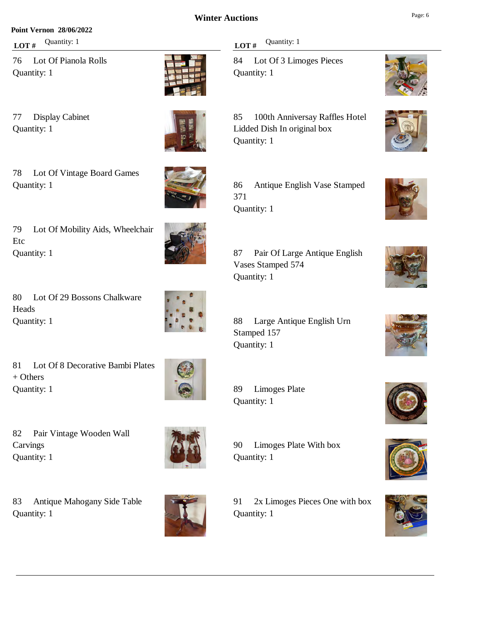#### **Point Vernon 28/06/2022**

**LOT** # Quantity: 1

76 Lot Of Pianola Rolls Quantity: 1

77 Display Cabinet

Quantity: 1





78 Lot Of Vintage Board Games Quantity: 1



79 Lot Of Mobility Aids, Wheelchair Etc Quantity: 1

80 Lot Of 29 Bossons Chalkware Heads Quantity: 1



81 Lot Of 8 Decorative Bambi Plates + Others Quantity: 1



82 Pair Vintage Wooden Wall Carvings Quantity: 1

83 Antique Mahogany Side Table Quantity: 1



#### **LOT** # Quantity: 1

84 Lot Of 3 Limoges Pieces Quantity: 1

85 100th Anniversay Raffles Hotel Lidded Dish In original box Quantity: 1



| 87 Pair Of Large Antique English |
|----------------------------------|
| Vases Stamped 574                |
| Quantity: 1                      |

88 Large Antique English Urn Stamped 157 Quantity: 1

89 Limoges Plate Quantity: 1

90 Limoges Plate With box Quantity: 1

91 2x Limoges Pieces One with box Quantity: 1





















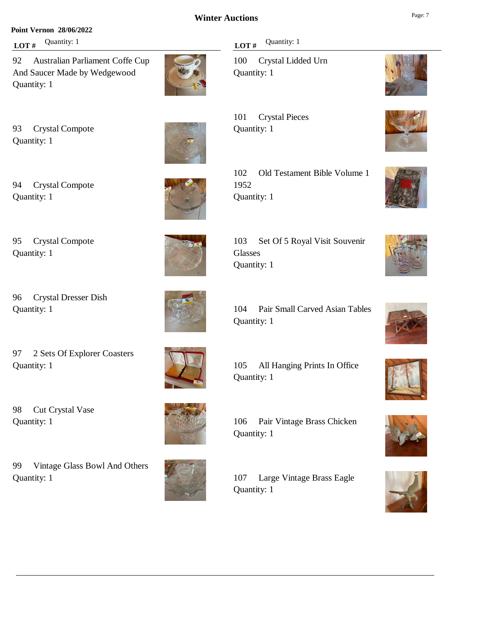#### **Point Vernon 28/06/2022**

**LOT**  $#$  Quantity: 1

92 Australian Parliament Coffe Cup And Saucer Made by Wedgewood Quantity: 1



93 Crystal Compote Quantity: 1



94 Crystal Compote Quantity: 1



102 Old Testament Bible Volume 1 1952 Quantity: 1

103 Set Of 5 Royal Visit Souvenir Glasses Quantity: 1

104 Pair Small Carved Asian Tables Quantity: 1

105 All Hanging Prints In Office Quantity: 1

106 Pair Vintage Brass Chicken Quantity: 1

107 Large Vintage Brass Eagle Quantity: 1

**LOT**  $#$  Quantity: 1

100 Crystal Lidded Urn

101 Crystal Pieces Quantity: 1



95 Crystal Compote Quantity: 1

96 Crystal Dresser Dish Quantity: 1

98 Cut Crystal Vase

Quantity: 1

Quantity: 1

Quantity: 1

97 2 Sets Of Explorer Coasters

99 Vintage Glass Bowl And Others



























Quantity: 1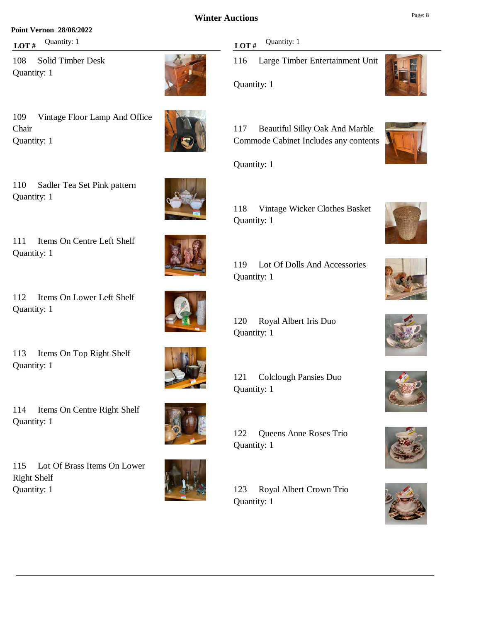#### **Point Vernon 28/06/2022**

**LOT** # Quantity: 1

108 Solid Timber Desk Quantity: 1

109 Vintage Floor Lamp And Office Chair Quantity: 1

110 Sadler Tea Set Pink pattern Quantity: 1

111 Items On Centre Left Shelf Quantity: 1

112 Items On Lower Left Shelf Quantity: 1

113 Items On Top Right Shelf Quantity: 1

114 Items On Centre Right Shelf Quantity: 1

115 Lot Of Brass Items On Lower Right Shelf Quantity: 1





**LOT** # Quantity: 1

116 Large Timber Entertainment Unit

Quantity: 1

117 Beautiful Silky Oak And Marble Commode Cabinet Includes any contents

Quantity: 1

Quantity: 1

118 Vintage Wicker Clothes Basket Quantity: 1



120 Royal Albert Iris Duo Quantity: 1

121 Colclough Pansies Duo Quantity: 1

122 Queens Anne Roses Trio Quantity: 1

123 Royal Albert Crown Trio Quantity: 1

















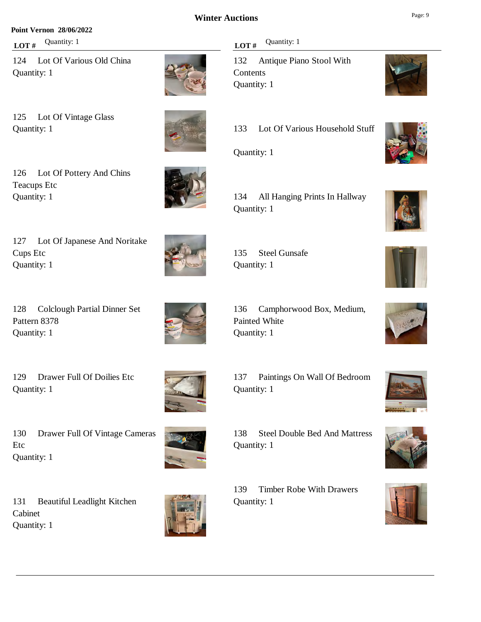#### **Point Vernon 28/06/2022**

**LOT** # Quantity: 1

124 Lot Of Various Old China Quantity: 1



125 Lot Of Vintage Glass Quantity: 1

126 Lot Of Pottery And Chins Teacups Etc Quantity: 1

127 Lot Of Japanese And Noritake Cups Etc Quantity: 1

128 Colclough Partial Dinner Set Pattern 8378 Quantity: 1

129 Drawer Full Of Doilies Etc Quantity: 1



130 Drawer Full Of Vintage Cameras Etc Quantity: 1

139 Timber Robe With Drawers Quantity: 1

138 Steel Double Bed And Mattress





134 All Hanging Prints In Hallway Quantity: 1





















135 Steel Gunsafe Quantity: 1

136 Camphorwood Box, Medium, Painted White Quantity: 1



137 Paintings On Wall Of Bedroom Quantity: 1

Quantity: 1

131 Beautiful Leadlight Kitchen Cabinet Quantity: 1









# **LOT**  $#$  Quantity: 1

132 Antique Piano Stool With **Contents** Quantity: 1

133 Lot Of Various Household Stuff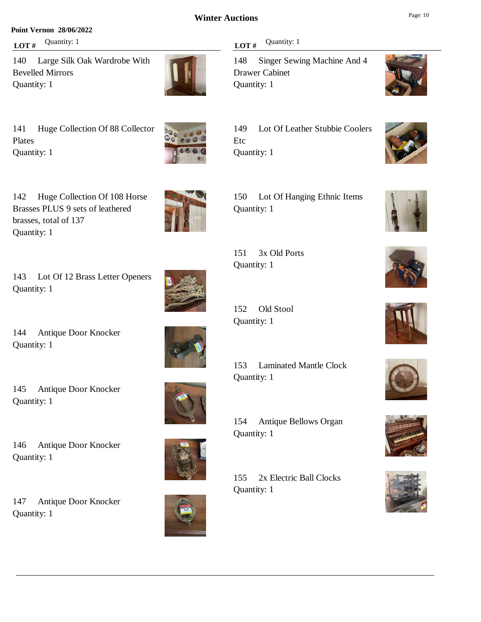#### **Point Vernon 28/06/2022**

**LOT** # Quantity: 1

140 Large Silk Oak Wardrobe With Bevelled Mirrors Quantity: 1



141 Huge Collection Of 88 Collector Plates Quantity: 1



143 Lot Of 12 Brass Letter Openers Quantity: 1

144 Antique Door Knocker Quantity: 1

145 Antique Door Knocker

Quantity: 1



### **LOT** # Quantity: 1

148 Singer Sewing Machine And 4 Drawer Cabinet Quantity: 1



149 Lot Of Leather Stubbie Coolers Etc Quantity: 1

150 Lot Of Hanging Ethnic Items Quantity: 1

151 3x Old Ports Quantity: 1

152 Old Stool Quantity: 1

153 Laminated Mantle Clock Quantity: 1

154 Antique Bellows Organ Quantity: 1

155 2x Electric Ball Clocks Quantity: 1

















146 Antique Door Knocker Quantity: 1

147 Antique Door Knocker Quantity: 1

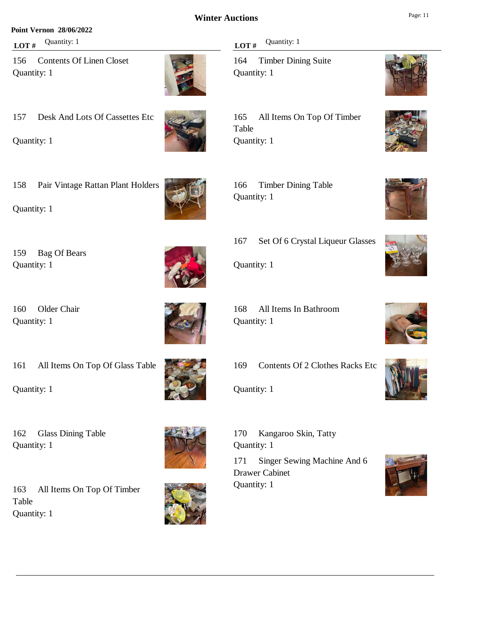#### **Point Vernon 28/06/2022**

**LOT** # Quantity: 1

156 Contents Of Linen Closet Quantity: 1



157 Desk And Lots Of Cassettes Etc

Quantity: 1



### **LOT** # Quantity: 1

164 Timber Dining Suite Quantity: 1

165 All Items On Top Of Timber Table Quantity: 1



Quantity: 1

Quantity: 1

Quantity: 1

159 Bag Of Bears

160 Older Chair

166 Timber Dining Table Quantity: 1





167 Set Of 6 Crystal Liqueur Glasses

Quantity: 1

169 Contents Of 2 Clothes Racks Etc

Quantity: 1



171 Singer Sewing Machine And 6 Drawer Cabinet Quantity: 1

















168 All Items In Bathroom Quantity: 1

161 All Items On Top Of Glass Table

Quantity: 1

162 Glass Dining Table Quantity: 1



163 All Items On Top Of Timber Table Quantity: 1



170 Kangaroo Skin, Tatty Quantity: 1





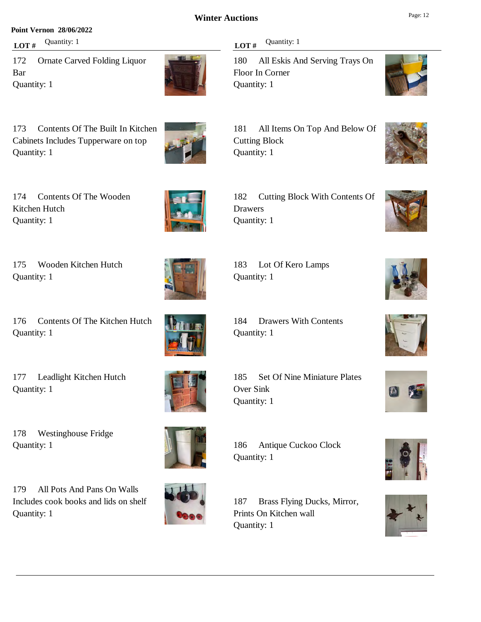#### **Point Vernon 28/06/2022**

**LOT** # Quantity: 1

172 Ornate Carved Folding Liquor Bar Quantity: 1



173 Contents Of The Built In Kitchen Cabinets Includes Tupperware on top Quantity: 1



174 Contents Of The Wooden Kitchen Hutch Quantity: 1

175 Wooden Kitchen Hutch Quantity: 1

176 Contents Of The Kitchen Hutch Quantity: 1

177 Leadlight Kitchen Hutch Quantity: 1





178 Westinghouse Fridge Quantity: 1

179 All Pots And Pans On Walls Includes cook books and lids on shelf Quantity: 1



Quantity: 1

186 Antique Cuckoo Clock

187 Brass Flying Ducks, Mirror, Prints On Kitchen wall Quantity: 1

#### **LOT** # Quantity: 1

Cutting Block Quantity: 1

Drawers Quantity: 1

Quantity: 1

Quantity: 1

180 All Eskis And Serving Trays On Floor In Corner Quantity: 1

181 All Items On Top And Below Of

182 Cutting Block With Contents Of

183 Lot Of Kero Lamps

184 Drawers With Contents



















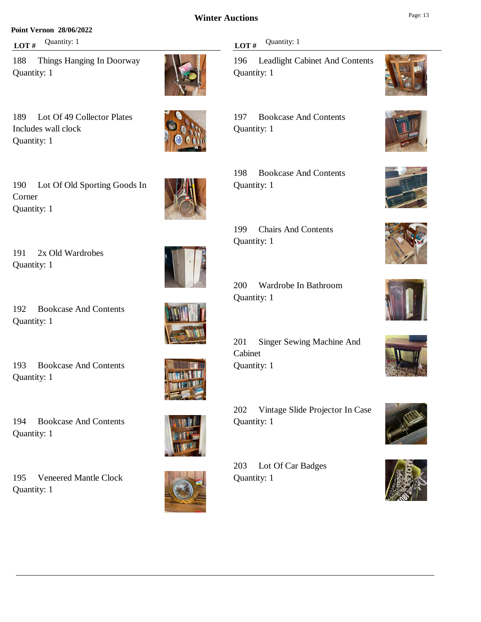#### **Point Vernon 28/06/2022**

**LOT** # Quantity: 1

188 Things Hanging In Doorway Quantity: 1

189 Lot Of 49 Collector Plates Includes wall clock Quantity: 1

190 Lot Of Old Sporting Goods In Corner Quantity: 1

191 2x Old Wardrobes Quantity: 1

192 Bookcase And Contents Quantity: 1

193 Bookcase And Contents Quantity: 1

194 Bookcase And Contents Quantity: 1

195 Veneered Mantle Clock Quantity: 1



196 Leadlight Cabinet And Contents Quantity: 1

197 Bookcase And Contents Quantity: 1

198 Bookcase And Contents Quantity: 1

199 Chairs And Contents Quantity: 1

200 Wardrobe In Bathroom Quantity: 1

201 Singer Sewing Machine And Cabinet Quantity: 1

202 Vintage Slide Projector In Case Quantity: 1

203 Lot Of Car Badges Quantity: 1